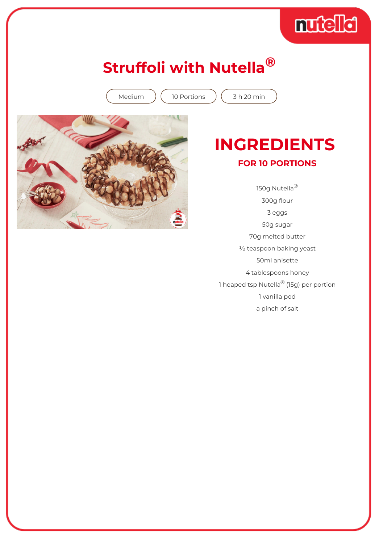## mudici

### **Struffoli with Nutella®**

Medium  $(10$  Portions  $(3 h 20$  min



#### **INGREDIENTS FOR 10 PORTIONS**

150g Nutella® 300g flour 3 eggs 50g sugar 70g melted butter ½ teaspoon baking yeast 50ml anisette 4 tablespoons honey 1 heaped tsp Nutella® (15g) per portion 1 vanilla pod a pinch of salt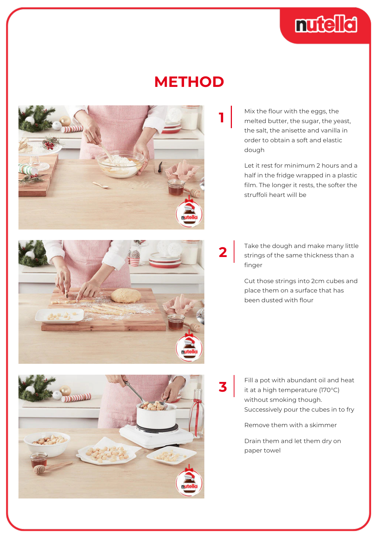

#### **METHOD**

**2**

**3**



Mix the flour with the eggs, the melted butter, the sugar, the yeast, the salt, the anisette and vanilla in order to obtain a soft and elastic dough

Let it rest for minimum 2 hours and a half in the fridge wrapped in a plastic film. The longer it rests, the softer the struffoli heart will be

Take the dough and make many little strings of the same thickness than a finger

Cut those strings into 2cm cubes and place them on a surface that has been dusted with flour

Fill a pot with abundant oil and heat it at a high temperature (170°C) without smoking though. Successively pour the cubes in to fry

Remove them with a skimmer

Drain them and let them dry on paper towel